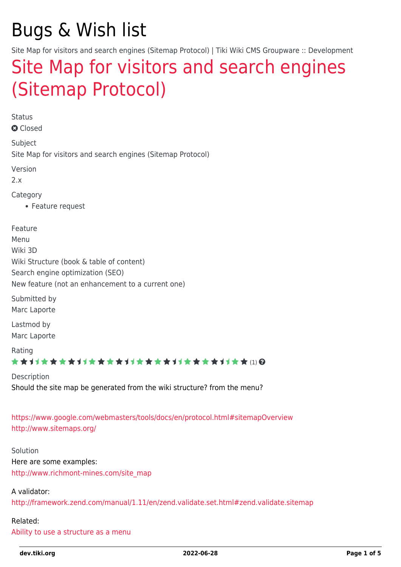# Bugs & Wish list

Site Map for visitors and search engines (Sitemap Protocol) | Tiki Wiki CMS Groupware :: Development

# [Site Map for visitors and search engines](https://dev.tiki.org/item1614-Site-Map-for-visitors-and-search-engines-Sitemap-Protocol) [\(Sitemap Protocol\)](https://dev.tiki.org/item1614-Site-Map-for-visitors-and-search-engines-Sitemap-Protocol)

Status

**a** Closed

Subject Site Map for visitors and search engines (Sitemap Protocol)

Version

2.x

Category

Feature request

Feature Menu Wiki 3D Wiki Structure (book & table of content) Search engine optimization (SEO) New feature (not an enhancement to a current one) Submitted by Marc Laporte

Lastmod by Marc Laporte

Rating

\*\*\*\*\*\*\*\*\*\*\*\*\*\*\*\*\*\*\*\*\*\*\*\*\*\*\*\*\*\*

Description Should the site map be generated from the wiki structure? from the menu?

<https://www.google.com/webmasters/tools/docs/en/protocol.html#sitemapOverview> <http://www.sitemaps.org/>

Solution Here are some examples: [http://www.richmont-mines.com/site\\_map](http://www.richmont-mines.com/site_map)

A validator: <http://framework.zend.com/manual/1.11/en/zend.validate.set.html#zend.validate.sitemap>

#### Related:

[Ability to use a structure as a menu](https://dev.tiki.org/wish1045)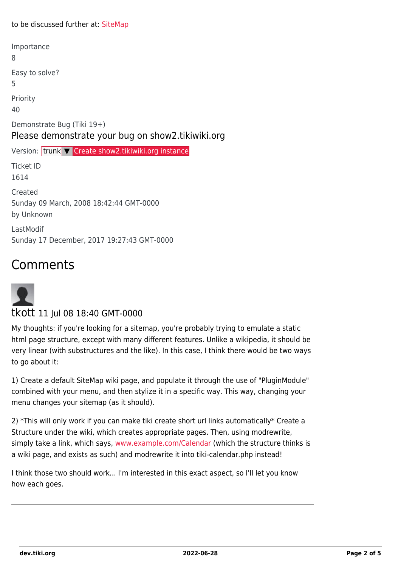#### to be discussed further at: [SiteMap](https://dev.tiki.org/Sitemap)

| 8                                                                               |
|---------------------------------------------------------------------------------|
| Easy to solve?<br>5                                                             |
| Priority<br>40                                                                  |
| Demonstrate Bug (Tiki 19+)<br>Please demonstrate your bug on show2.tikiwiki.org |
|                                                                                 |
| Version: trunk V Create show2.tikiwiki.org instance                             |
| <b>Ticket ID</b><br>1614                                                        |
| Created<br>Sunday 09 March, 2008 18:42:44 GMT-0000<br>by Unknown                |

## Comments



#### tkott 11 Jul 08 18:40 GMT-0000

My thoughts: if you're looking for a sitemap, you're probably trying to emulate a static html page structure, except with many different features. Unlike a wikipedia, it should be very linear (with substructures and the like). In this case, I think there would be two ways to go about it:

1) Create a default SiteMap wiki page, and populate it through the use of "PluginModule" combined with your menu, and then stylize it in a specific way. This way, changing your menu changes your sitemap (as it should).

2) \*This will only work if you can make tiki create short url links automatically\* Create a Structure under the wiki, which creates appropriate pages. Then, using modrewrite, simply take a link, which says, [www.example.com/Calendar](http://www.example.com/Calendar) (which the structure thinks is a wiki page, and exists as such) and modrewrite it into tiki-calendar.php instead!

I think those two should work... I'm interested in this exact aspect, so I'll let you know how each goes.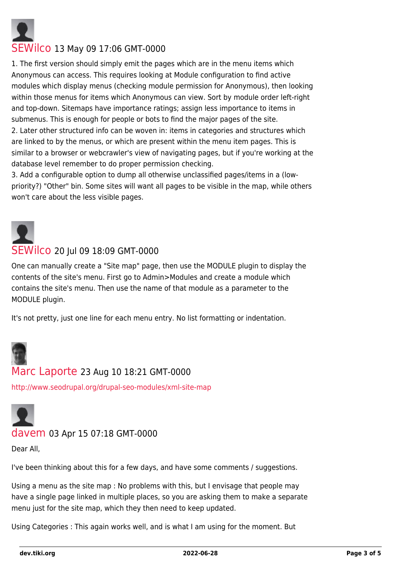

#### [SEWilco](https://dev.tiki.org/user4288) 13 May 09 17:06 GMT-0000

1. The first version should simply emit the pages which are in the menu items which Anonymous can access. This requires looking at Module configuration to find active modules which display menus (checking module permission for Anonymous), then looking within those menus for items which Anonymous can view. Sort by module order left-right and top-down. Sitemaps have importance ratings; assign less importance to items in submenus. This is enough for people or bots to find the major pages of the site. 2. Later other structured info can be woven in: items in categories and structures which are linked to by the menus, or which are present within the menu item pages. This is similar to a browser or webcrawler's view of navigating pages, but if you're working at the database level remember to do proper permission checking.

3. Add a configurable option to dump all otherwise unclassified pages/items in a (lowpriority?) "Other" bin. Some sites will want all pages to be visible in the map, while others won't care about the less visible pages.



#### [SEWilco](https://dev.tiki.org/user4288) 20 Jul 09 18:09 GMT-0000

One can manually create a "Site map" page, then use the MODULE plugin to display the contents of the site's menu. First go to Admin>Modules and create a module which contains the site's menu. Then use the name of that module as a parameter to the MODULE plugin.

It's not pretty, just one line for each menu entry. No list formatting or indentation.



#### [Marc Laporte](https://dev.tiki.org/user11197) 23 Aug 10 18:21 GMT-0000

<http://www.seodrupal.org/drupal-seo-modules/xml-site-map>



#### [davem](https://dev.tiki.org/user11751) 03 Apr 15 07:18 GMT-0000

Dear All,

I've been thinking about this for a few days, and have some comments / suggestions.

Using a menu as the site map : No problems with this, but I envisage that people may have a single page linked in multiple places, so you are asking them to make a separate menu just for the site map, which they then need to keep updated.

Using Categories : This again works well, and is what I am using for the moment. But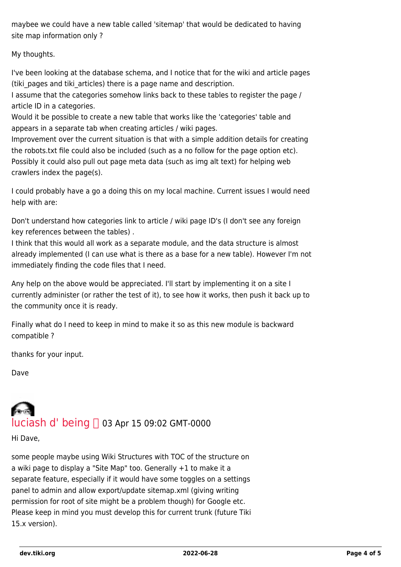maybee we could have a new table called 'sitemap' that would be dedicated to having site map information only ?

My thoughts.

I've been looking at the database schema, and I notice that for the wiki and article pages (tiki pages and tiki articles) there is a page name and description.

I assume that the categories somehow links back to these tables to register the page / article ID in a categories.

Would it be possible to create a new table that works like the 'categories' table and appears in a separate tab when creating articles / wiki pages.

Improvement over the current situation is that with a simple addition details for creating the robots.txt file could also be included (such as a no follow for the page option etc). Possibly it could also pull out page meta data (such as img alt text) for helping web crawlers index the page(s).

I could probably have a go a doing this on my local machine. Current issues I would need help with are:

Don't understand how categories link to article / wiki page ID's (I don't see any foreign key references between the tables) .

I think that this would all work as a separate module, and the data structure is almost already implemented (I can use what is there as a base for a new table). However I'm not immediately finding the code files that I need.

Any help on the above would be appreciated. I'll start by implementing it on a site I currently administer (or rather the test of it), to see how it works, then push it back up to the community once it is ready.

Finally what do I need to keep in mind to make it so as this new module is backward compatible ?

thanks for your input.

Dave

# luciash d' $being \bigcap$  03 Apr 15 09:02 GMT-0000

Hi Dave,

some people maybe using Wiki Structures with TOC of the structure on a wiki page to display a "Site Map" too. Generally +1 to make it a separate feature, especially if it would have some toggles on a settings panel to admin and allow export/update sitemap.xml (giving writing permission for root of site might be a problem though) for Google etc. Please keep in mind you must develop this for current trunk (future Tiki 15.x version).